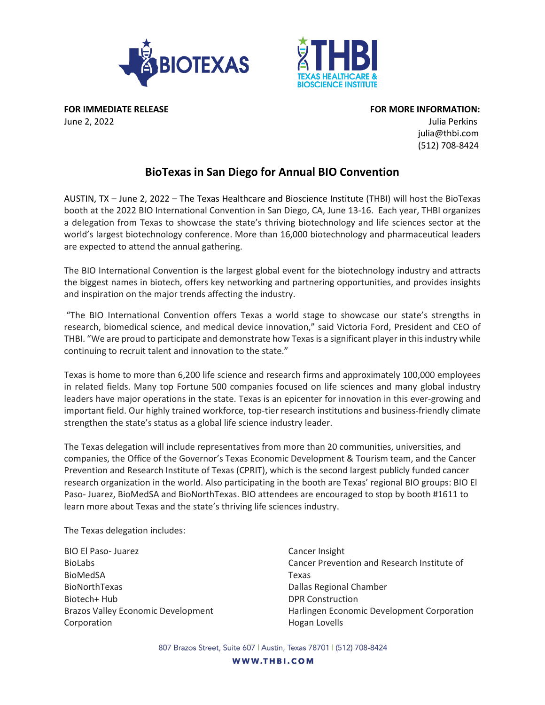



**FOR IMMEDIATE RELEASE FOR MORE INFORMATION:**

June 2, 2022 Julia Perkins julia@thbi.com (512) 708-8424

## **BioTexas in San Diego for Annual BIO Convention**

AUSTIN, TX – June 2, 2022 – The Texas Healthcare and Bioscience Institute (THBI) will host the BioTexas booth at the 2022 BIO International Convention in San Diego, CA, June 13-16. Each year, THBI organizes a delegation from Texas to showcase the state's thriving biotechnology and life sciences sector at the world's largest biotechnology conference. More than 16,000 biotechnology and pharmaceutical leaders are expected to attend the annual gathering.

The BIO International Convention is the largest global event for the biotechnology industry and attracts the biggest names in biotech, offers key networking and partnering opportunities, and provides insights and inspiration on the major trends affecting the industry.

"The BIO International Convention offers Texas a world stage to showcase our state's strengths in research, biomedical science, and medical device innovation," said Victoria Ford, President and CEO of THBI. "We are proud to participate and demonstrate how Texas is a significant player in this industry while continuing to recruit talent and innovation to the state."

Texas is home to more than 6,200 life science and research firms and approximately 100,000 employees in related fields. Many top Fortune 500 companies focused on life sciences and many global industry leaders have major operations in the state. Texas is an epicenter for innovation in this ever-growing and important field. Our highly trained workforce, top-tier research institutions and business-friendly climate strengthen the state's status as a global life science industry leader.

The Texas delegation will include representatives from more than 20 communities, universities, and companies, the Office of the Governor's Texas Economic Development & Tourism team, and the Cancer Prevention and Research Institute of Texas (CPRIT), which is the second largest publicly funded cancer research organization in the world. Also participating in the booth are Texas' regional BIO groups: BIO El Paso- Juarez, BioMedSA and BioNorthTexas. BIO attendees are encouraged to stop by booth #1611 to learn more about Texas and the state's thriving life sciences industry.

The Texas delegation includes:

BIO El Paso- Juarez BioLabs BioMedSA BioNorthTexas Biotech+ Hub Brazos Valley Economic Development Corporation

Cancer Insight Cancer Prevention and Research Institute of Texas Dallas Regional Chamber DPR Construction Harlingen Economic Development Corporation Hogan Lovells

807 Brazos Street, Suite 607 | Austin, Texas 78701 | (512) 708-8424

WWW.THBI.COM